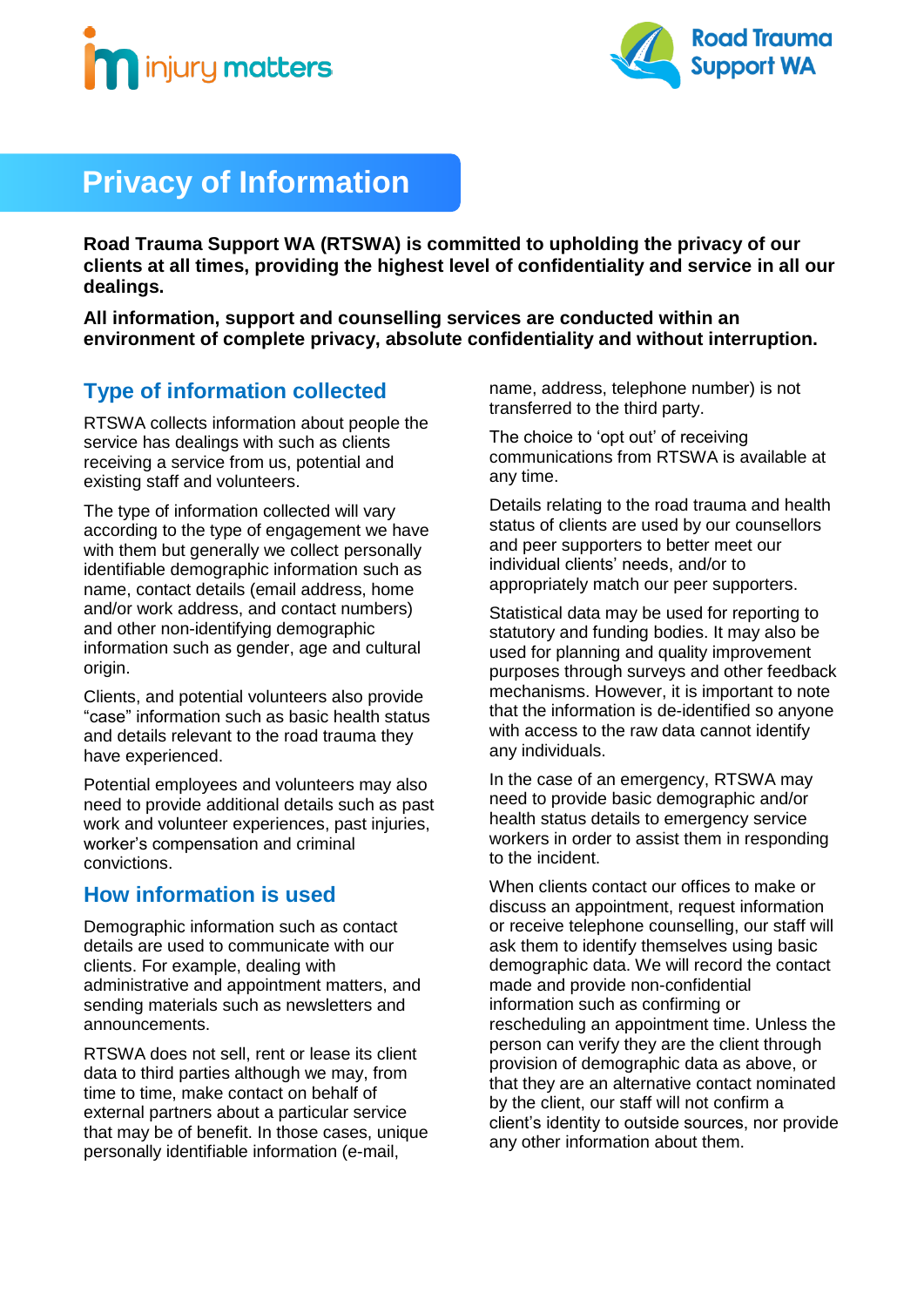



## **Privacy of Information**

**Road Trauma Support WA (RTSWA) is committed to upholding the privacy of our clients at all times, providing the highest level of confidentiality and service in all our dealings.**

**All information, support and counselling services are conducted within an environment of complete privacy, absolute confidentiality and without interruption.**

#### **Type of information collected**

RTSWA collects information about people the service has dealings with such as clients receiving a service from us, potential and existing staff and volunteers.

The type of information collected will vary according to the type of engagement we have with them but generally we collect personally identifiable demographic information such as name, contact details (email address, home and/or work address, and contact numbers) and other non-identifying demographic information such as gender, age and cultural origin.

Clients, and potential volunteers also provide "case" information such as basic health status and details relevant to the road trauma they have experienced.

Potential employees and volunteers may also need to provide additional details such as past work and volunteer experiences, past injuries, worker's compensation and criminal convictions.

#### **How information is used**

Demographic information such as contact details are used to communicate with our clients. For example, dealing with administrative and appointment matters, and sending materials such as newsletters and announcements.

RTSWA does not sell, rent or lease its client data to third parties although we may, from time to time, make contact on behalf of external partners about a particular service that may be of benefit. In those cases, unique personally identifiable information (e-mail,

name, address, telephone number) is not transferred to the third party.

The choice to 'opt out' of receiving communications from RTSWA is available at any time.

Details relating to the road trauma and health status of clients are used by our counsellors and peer supporters to better meet our individual clients' needs, and/or to appropriately match our peer supporters.

Statistical data may be used for reporting to statutory and funding bodies. It may also be used for planning and quality improvement purposes through surveys and other feedback mechanisms. However, it is important to note that the information is de-identified so anyone with access to the raw data cannot identify any individuals.

In the case of an emergency, RTSWA may need to provide basic demographic and/or health status details to emergency service workers in order to assist them in responding to the incident.

When clients contact our offices to make or discuss an appointment, request information or receive telephone counselling, our staff will ask them to identify themselves using basic demographic data. We will record the contact made and provide non-confidential information such as confirming or rescheduling an appointment time. Unless the person can verify they are the client through provision of demographic data as above, or that they are an alternative contact nominated by the client, our staff will not confirm a client's identity to outside sources, nor provide any other information about them.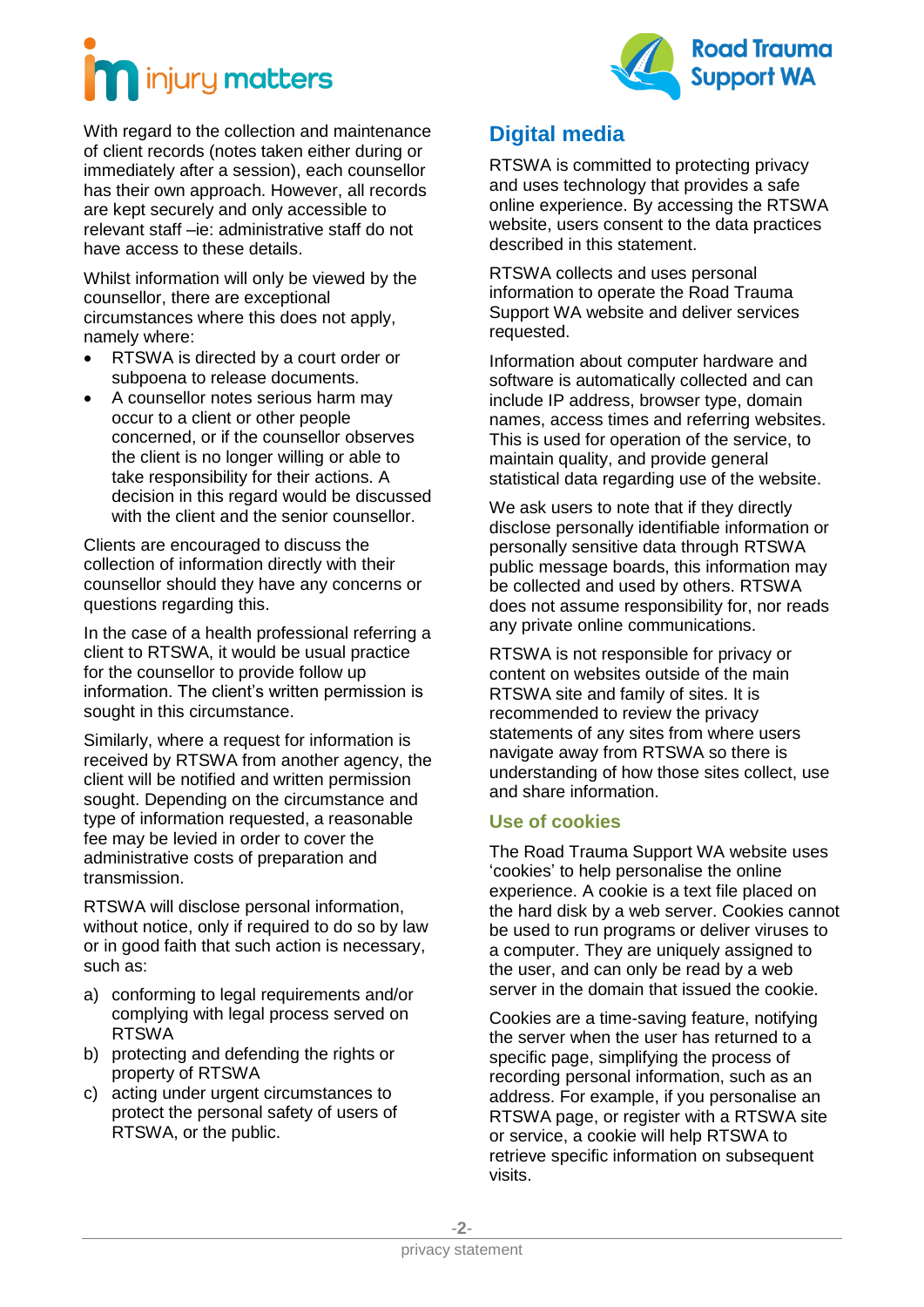



With regard to the collection and maintenance of client records (notes taken either during or immediately after a session), each counsellor has their own approach. However, all records are kept securely and only accessible to relevant staff –ie: administrative staff do not have access to these details.

Whilst information will only be viewed by the counsellor, there are exceptional circumstances where this does not apply, namely where:

- RTSWA is directed by a court order or subpoena to release documents.
- A counsellor notes serious harm may occur to a client or other people concerned, or if the counsellor observes the client is no longer willing or able to take responsibility for their actions. A decision in this regard would be discussed with the client and the senior counsellor.

Clients are encouraged to discuss the collection of information directly with their counsellor should they have any concerns or questions regarding this.

In the case of a health professional referring a client to RTSWA, it would be usual practice for the counsellor to provide follow up information. The client's written permission is sought in this circumstance.

Similarly, where a request for information is received by RTSWA from another agency, the client will be notified and written permission sought. Depending on the circumstance and type of information requested, a reasonable fee may be levied in order to cover the administrative costs of preparation and transmission.

RTSWA will disclose personal information, without notice, only if required to do so by law or in good faith that such action is necessary, such as:

- a) conforming to legal requirements and/or complying with legal process served on RTSWA
- b) protecting and defending the rights or property of RTSWA
- c) acting under urgent circumstances to protect the personal safety of users of RTSWA, or the public.

#### **Digital media**

RTSWA is committed to protecting privacy and uses technology that provides a safe online experience. By accessing the RTSWA website, users consent to the data practices described in this statement.

RTSWA collects and uses personal information to operate the Road Trauma Support WA website and deliver services requested.

Information about computer hardware and software is automatically collected and can include IP address, browser type, domain names, access times and referring websites. This is used for operation of the service, to maintain quality, and provide general statistical data regarding use of the website.

We ask users to note that if they directly disclose personally identifiable information or personally sensitive data through RTSWA public message boards, this information may be collected and used by others. RTSWA does not assume responsibility for, nor reads any private online communications.

RTSWA is not responsible for privacy or content on websites outside of the main RTSWA site and family of sites. It is recommended to review the privacy statements of any sites from where users navigate away from RTSWA so there is understanding of how those sites collect, use and share information.

#### **Use of cookies**

The Road Trauma Support WA website uses 'cookies' to help personalise the online experience. A cookie is a text file placed on the hard disk by a web server. Cookies cannot be used to run programs or deliver viruses to a computer. They are uniquely assigned to the user, and can only be read by a web server in the domain that issued the cookie.

Cookies are a time-saving feature, notifying the server when the user has returned to a specific page, simplifying the process of recording personal information, such as an address. For example, if you personalise an RTSWA page, or register with a RTSWA site or service, a cookie will help RTSWA to retrieve specific information on subsequent visits.